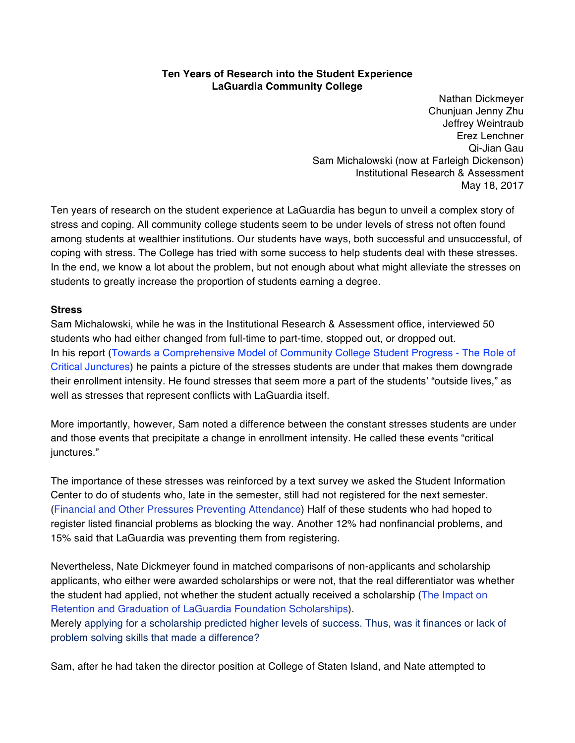## **Ten Years of Research into the Student Experience LaGuardia Community College**

Nathan Dickmeyer Chunjuan Jenny Zhu Jeffrey Weintraub Erez Lenchner Qi‐Jian Gau Sam Michalowski (now at Farleigh Dickenson) Institutional Research & Assessment May 18, 2017

Ten years of research on the student experience at LaGuardia has begun to unveil a complex story of stress and coping. All community college students seem to be under levels of stress not often found among students at wealthier institutions. Our students have ways, both successful and unsuccessful, of coping with stress. The College has tried with some success to help students deal with these stresses. In the end, we know a lot about the problem, but not enough about what might alleviate the stresses on students to greatly increase the proportion of students earning a degree.

## **Stress**

Sam Michalowski, while he was in the Institutional Research & Assessment office, interviewed 50 students who had either changed from full‐time to part‐time, stopped out, or dropped out. In his report (Towards a Comprehensive Model of Community College Student Progress ‐ The Role of Critical Junctures) he paints a picture of the stresses students are under that makes them downgrade their enrollment intensity. He found stresses that seem more a part of the students' "outside lives," as well as stresses that represent conflicts with LaGuardia itself.

More importantly, however, Sam noted a difference between the constant stresses students are under and those events that precipitate a change in enrollment intensity. He called these events "critical junctures."

The importance of these stresses was reinforced by a text survey we asked the Student Information Center to do of students who, late in the semester, still had not registered for the next semester. (Financial and Other Pressures Preventing Attendance) Half of these students who had hoped to register listed financial problems as blocking the way. Another 12% had nonfinancial problems, and 15% said that LaGuardia was preventing them from registering.

Nevertheless, Nate Dickmeyer found in matched comparisons of non‐applicants and scholarship applicants, who either were awarded scholarships or were not, that the real differentiator was whether the student had applied, not whether the student actually received a scholarship (The Impact on Retention and Graduation of LaGuardia Foundation Scholarships).

Merely applying for a scholarship predicted higher levels of success. Thus, was it finances or lack of problem solving skills that made a difference?

Sam, after he had taken the director position at College of Staten Island, and Nate attempted to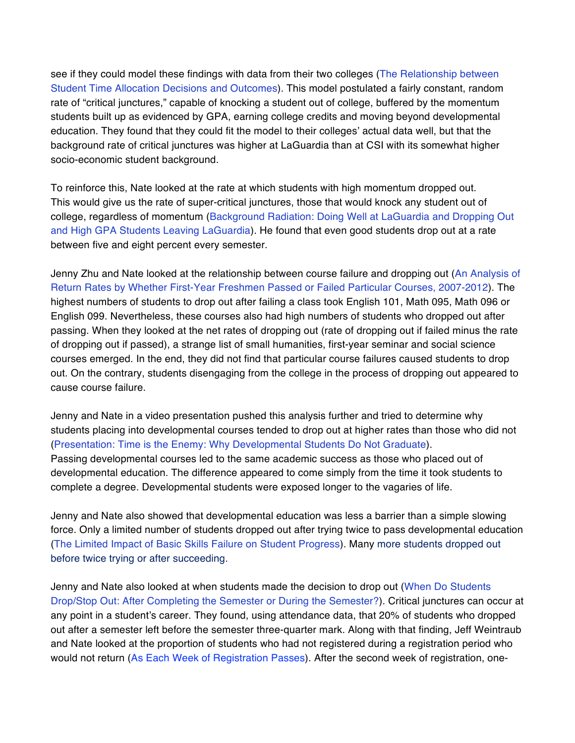see if they could model these findings with data from their two colleges (The Relationship between Student Time Allocation Decisions and Outcomes). This model postulated a fairly constant, random rate of "critical junctures," capable of knocking a student out of college, buffered by the momentum students built up as evidenced by GPA, earning college credits and moving beyond developmental education. They found that they could fit the model to their colleges' actual data well, but that the background rate of critical junctures was higher at LaGuardia than at CSI with its somewhat higher socio‐economic student background.

To reinforce this, Nate looked at the rate at which students with high momentum dropped out. This would give us the rate of super‐critical junctures, those that would knock any student out of college, regardless of momentum (Background Radiation: Doing Well at LaGuardia and Dropping Out and High GPA Students Leaving LaGuardia). He found that even good students drop out at a rate between five and eight percent every semester.

Jenny Zhu and Nate looked at the relationship between course failure and dropping out (An Analysis of Return Rates by Whether First‐Year Freshmen Passed or Failed Particular Courses, 2007‐2012). The highest numbers of students to drop out after failing a class took English 101, Math 095, Math 096 or English 099. Nevertheless, these courses also had high numbers of students who dropped out after passing. When they looked at the net rates of dropping out (rate of dropping out if failed minus the rate of dropping out if passed), a strange list of small humanities, first‐year seminar and social science courses emerged. In the end, they did not find that particular course failures caused students to drop out. On the contrary, students disengaging from the college in the process of dropping out appeared to cause course failure.

Jenny and Nate in a video presentation pushed this analysis further and tried to determine why students placing into developmental courses tended to drop out at higher rates than those who did not (Presentation: Time is the Enemy: Why Developmental Students Do Not Graduate). Passing developmental courses led to the same academic success as those who placed out of developmental education. The difference appeared to come simply from the time it took students to complete a degree. Developmental students were exposed longer to the vagaries of life.

Jenny and Nate also showed that developmental education was less a barrier than a simple slowing force. Only a limited number of students dropped out after trying twice to pass developmental education (The Limited Impact of Basic Skills Failure on Student Progress). Many more students dropped out before twice trying or after succeeding.

Jenny and Nate also looked at when students made the decision to drop out (When Do Students Drop/Stop Out: After Completing the Semester or During the Semester?). Critical junctures can occur at any point in a student's career. They found, using attendance data, that 20% of students who dropped out after a semester left before the semester three‐quarter mark. Along with that finding, Jeff Weintraub and Nate looked at the proportion of students who had not registered during a registration period who would not return (As Each Week of Registration Passes). After the second week of registration, one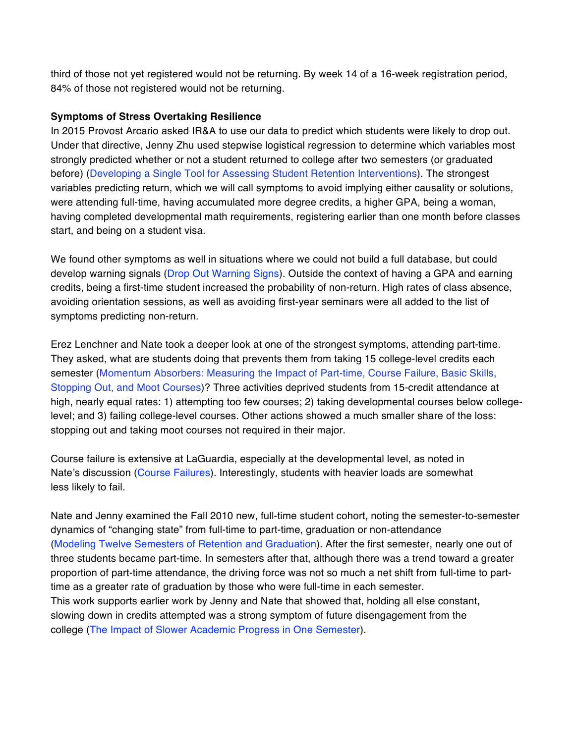third of those not yet registered would not be returning. By week 14 of a 16‐week registration period, 84% of those not registered would not be returning.

# **Symptoms of Stress Overtaking Resilience**

In 2015 Provost Arcario asked IR&A to use our data to predict which students were likely to drop out. Under that directive, Jenny Zhu used stepwise logistical regression to determine which variables most strongly predicted whether or not a student returned to college after two semesters (or graduated before) (Developing a Single Tool for Assessing Student Retention Interventions). The strongest variables predicting return, which we will call symptoms to avoid implying either causality or solutions, were attending full‐time, having accumulated more degree credits, a higher GPA, being a woman, having completed developmental math requirements, registering earlier than one month before classes start, and being on a student visa.

We found other symptoms as well in situations where we could not build a full database, but could develop warning signals (Drop Out Warning Signs). Outside the context of having a GPA and earning credits, being a first‐time student increased the probability of non‐return. High rates of class absence, avoiding orientation sessions, as well as avoiding first-year seminars were all added to the list of symptoms predicting non-return.

Erez Lenchner and Nate took a deeper look at one of the strongest symptoms, attending part-time. They asked, what are students doing that prevents them from taking 15 college‐level credits each semester (Momentum Absorbers: Measuring the Impact of Part-time, Course Failure, Basic Skills, Stopping Out, and Moot Courses)? Three activities deprived students from 15‐credit attendance at high, nearly equal rates: 1) attempting too few courses; 2) taking developmental courses below collegelevel; and 3) failing college‐level courses. Other actions showed a much smaller share of the loss: stopping out and taking moot courses not required in their major.

Course failure is extensive at LaGuardia, especially at the developmental level, as noted in Nate's discussion (Course Failures). Interestingly, students with heavier loads are somewhat less likely to fail.

Nate and Jenny examined the Fall 2010 new, full‐time student cohort, noting the semester‐to-semester dynamics of "changing state" from full‐time to part‐time, graduation or non-attendance (Modeling Twelve Semesters of Retention and Graduation). After the first semester, nearly one out of three students became part‐time. In semesters after that, although there was a trend toward a greater proportion of part-time attendance, the driving force was not so much a net shift from full-time to parttime as a greater rate of graduation by those who were full‐time in each semester. This work supports earlier work by Jenny and Nate that showed that, holding all else constant, slowing down in credits attempted was a strong symptom of future disengagement from the college (The Impact of Slower Academic Progress in One Semester).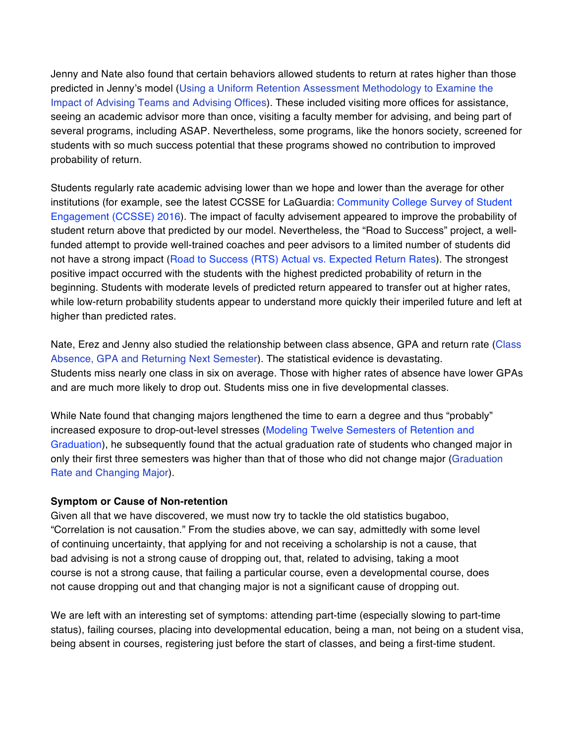Jenny and Nate also found that certain behaviors allowed students to return at rates higher than those predicted in Jenny's model (Using a Uniform Retention Assessment Methodology to Examine the Impact of Advising Teams and Advising Offices). These included visiting more offices for assistance, seeing an academic advisor more than once, visiting a faculty member for advising, and being part of several programs, including ASAP. Nevertheless, some programs, like the honors society, screened for students with so much success potential that these programs showed no contribution to improved probability of return.

Students regularly rate academic advising lower than we hope and lower than the average for other institutions (for example, see the latest CCSSE for LaGuardia: Community College Survey of Student Engagement (CCSSE) 2016). The impact of faculty advisement appeared to improve the probability of student return above that predicted by our model. Nevertheless, the "Road to Success" project, a well‐ funded attempt to provide well-trained coaches and peer advisors to a limited number of students did not have a strong impact (Road to Success (RTS) Actual vs. Expected Return Rates). The strongest positive impact occurred with the students with the highest predicted probability of return in the beginning. Students with moderate levels of predicted return appeared to transfer out at higher rates, while low-return probability students appear to understand more quickly their imperiled future and left at higher than predicted rates.

Nate, Erez and Jenny also studied the relationship between class absence, GPA and return rate (Class Absence, GPA and Returning Next Semester). The statistical evidence is devastating. Students miss nearly one class in six on average. Those with higher rates of absence have lower GPAs and are much more likely to drop out. Students miss one in five developmental classes.

While Nate found that changing majors lengthened the time to earn a degree and thus "probably" increased exposure to drop-out-level stresses (Modeling Twelve Semesters of Retention and Graduation), he subsequently found that the actual graduation rate of students who changed major in only their first three semesters was higher than that of those who did not change major (Graduation Rate and Changing Major).

## **Symptom or Cause of Non‐retention**

Given all that we have discovered, we must now try to tackle the old statistics bugaboo, "Correlation is not causation." From the studies above, we can say, admittedly with some level of continuing uncertainty, that applying for and not receiving a scholarship is not a cause, that bad advising is not a strong cause of dropping out, that, related to advising, taking a moot course is not a strong cause, that failing a particular course, even a developmental course, does not cause dropping out and that changing major is not a significant cause of dropping out.

We are left with an interesting set of symptoms: attending part-time (especially slowing to part-time status), failing courses, placing into developmental education, being a man, not being on a student visa, being absent in courses, registering just before the start of classes, and being a first-time student.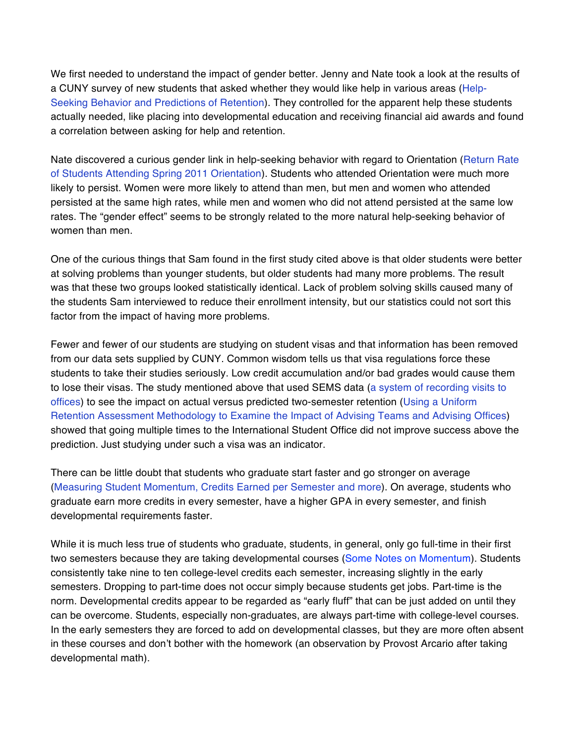We first needed to understand the impact of gender better. Jenny and Nate took a look at the results of a CUNY survey of new students that asked whether they would like help in various areas (Help-Seeking Behavior and Predictions of Retention). They controlled for the apparent help these students actually needed, like placing into developmental education and receiving financial aid awards and found a correlation between asking for help and retention.

Nate discovered a curious gender link in help-seeking behavior with regard to Orientation (Return Rate of Students Attending Spring 2011 Orientation). Students who attended Orientation were much more likely to persist. Women were more likely to attend than men, but men and women who attended persisted at the same high rates, while men and women who did not attend persisted at the same low rates. The "gender effect" seems to be strongly related to the more natural help-seeking behavior of women than men.

One of the curious things that Sam found in the first study cited above is that older students were better at solving problems than younger students, but older students had many more problems. The result was that these two groups looked statistically identical. Lack of problem solving skills caused many of the students Sam interviewed to reduce their enrollment intensity, but our statistics could not sort this factor from the impact of having more problems.

Fewer and fewer of our students are studying on student visas and that information has been removed from our data sets supplied by CUNY. Common wisdom tells us that visa regulations force these students to take their studies seriously. Low credit accumulation and/or bad grades would cause them to lose their visas. The study mentioned above that used SEMS data (a system of recording visits to offices) to see the impact on actual versus predicted two‐semester retention (Using a Uniform Retention Assessment Methodology to Examine the Impact of Advising Teams and Advising Offices) showed that going multiple times to the International Student Office did not improve success above the prediction. Just studying under such a visa was an indicator.

There can be little doubt that students who graduate start faster and go stronger on average (Measuring Student Momentum, Credits Earned per Semester and more). On average, students who graduate earn more credits in every semester, have a higher GPA in every semester, and finish developmental requirements faster.

While it is much less true of students who graduate, students, in general, only go full-time in their first two semesters because they are taking developmental courses (Some Notes on Momentum). Students consistently take nine to ten college‐level credits each semester, increasing slightly in the early semesters. Dropping to part-time does not occur simply because students get jobs. Part-time is the norm. Developmental credits appear to be regarded as "early fluff" that can be just added on until they can be overcome. Students, especially non‐graduates, are always part‐time with college‐level courses. In the early semesters they are forced to add on developmental classes, but they are more often absent in these courses and don't bother with the homework (an observation by Provost Arcario after taking developmental math).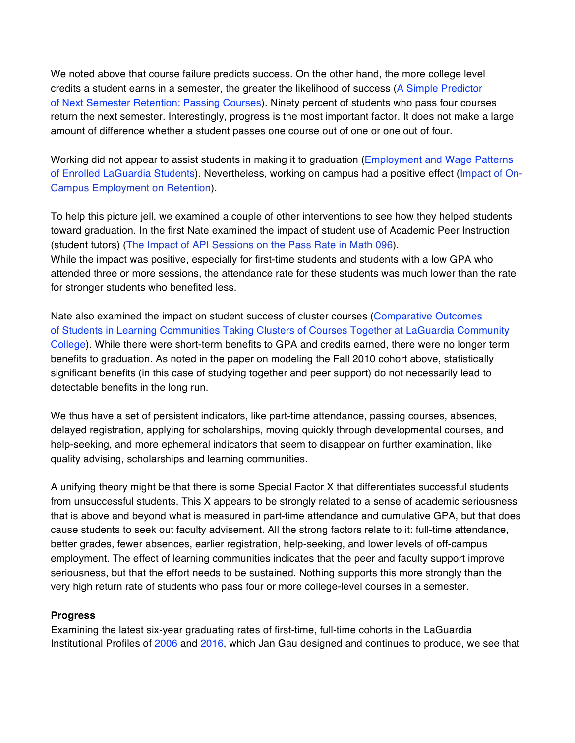We noted above that course failure predicts success. On the other hand, the more college level credits a student earns in a semester, the greater the likelihood of success (A Simple Predictor of Next Semester Retention: Passing Courses). Ninety percent of students who pass four courses return the next semester. Interestingly, progress is the most important factor. It does not make a large amount of difference whether a student passes one course out of one or one out of four.

Working did not appear to assist students in making it to graduation (Employment and Wage Patterns of Enrolled LaGuardia Students). Nevertheless, working on campus had a positive effect (Impact of On‐ Campus Employment on Retention).

To help this picture jell, we examined a couple of other interventions to see how they helped students toward graduation. In the first Nate examined the impact of student use of Academic Peer Instruction (student tutors) (The Impact of API Sessions on the Pass Rate in Math 096). While the impact was positive, especially for first-time students and students with a low GPA who attended three or more sessions, the attendance rate for these students was much lower than the rate for stronger students who benefited less.

Nate also examined the impact on student success of cluster courses (Comparative Outcomes of Students in Learning Communities Taking Clusters of Courses Together at LaGuardia Community College). While there were short‐term benefits to GPA and credits earned, there were no longer term benefits to graduation. As noted in the paper on modeling the Fall 2010 cohort above, statistically significant benefits (in this case of studying together and peer support) do not necessarily lead to detectable benefits in the long run.

We thus have a set of persistent indicators, like part-time attendance, passing courses, absences, delayed registration, applying for scholarships, moving quickly through developmental courses, and help-seeking, and more ephemeral indicators that seem to disappear on further examination, like quality advising, scholarships and learning communities.

A unifying theory might be that there is some Special Factor X that differentiates successful students from unsuccessful students. This X appears to be strongly related to a sense of academic seriousness that is above and beyond what is measured in part‐time attendance and cumulative GPA, but that does cause students to seek out faculty advisement. All the strong factors relate to it: full‐time attendance, better grades, fewer absences, earlier registration, help-seeking, and lower levels of off-campus employment. The effect of learning communities indicates that the peer and faculty support improve seriousness, but that the effort needs to be sustained. Nothing supports this more strongly than the very high return rate of students who pass four or more college‐level courses in a semester.

## **Progress**

Examining the latest six-year graduating rates of first-time, full-time cohorts in the LaGuardia Institutional Profiles of 2006 and 2016, which Jan Gau designed and continues to produce, we see that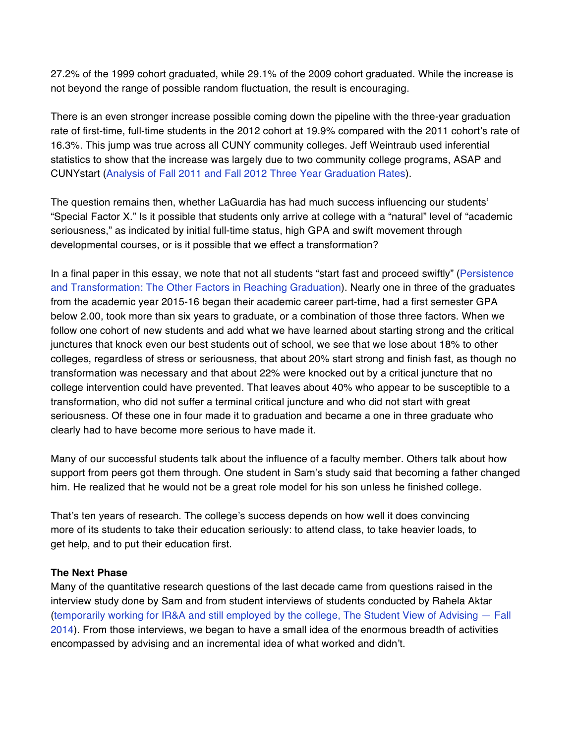27.2% of the 1999 cohort graduated, while 29.1% of the 2009 cohort graduated. While the increase is not beyond the range of possible random fluctuation, the result is encouraging.

There is an even stronger increase possible coming down the pipeline with the three-year graduation rate of first-time, full-time students in the 2012 cohort at 19.9% compared with the 2011 cohort's rate of 16.3%. This jump was true across all CUNY community colleges. Jeff Weintraub used inferential statistics to show that the increase was largely due to two community college programs, ASAP and CUNYstart (Analysis of Fall 2011 and Fall 2012 Three Year Graduation Rates).

The question remains then, whether LaGuardia has had much success influencing our students' "Special Factor X." Is it possible that students only arrive at college with a "natural" level of "academic seriousness," as indicated by initial full-time status, high GPA and swift movement through developmental courses, or is it possible that we effect a transformation?

In a final paper in this essay, we note that not all students "start fast and proceed swiftly" (Persistence and Transformation: The Other Factors in Reaching Graduation). Nearly one in three of the graduates from the academic year 2015‐16 began their academic career part‐time, had a first semester GPA below 2.00, took more than six years to graduate, or a combination of those three factors. When we follow one cohort of new students and add what we have learned about starting strong and the critical junctures that knock even our best students out of school, we see that we lose about 18% to other colleges, regardless of stress or seriousness, that about 20% start strong and finish fast, as though no transformation was necessary and that about 22% were knocked out by a critical juncture that no college intervention could have prevented. That leaves about 40% who appear to be susceptible to a transformation, who did not suffer a terminal critical juncture and who did not start with great seriousness. Of these one in four made it to graduation and became a one in three graduate who clearly had to have become more serious to have made it.

Many of our successful students talk about the influence of a faculty member. Others talk about how support from peers got them through. One student in Sam's study said that becoming a father changed him. He realized that he would not be a great role model for his son unless he finished college.

That's ten years of research. The college's success depends on how well it does convincing more of its students to take their education seriously: to attend class, to take heavier loads, to get help, and to put their education first.

## **The Next Phase**

Many of the quantitative research questions of the last decade came from questions raised in the interview study done by Sam and from student interviews of students conducted by Rahela Aktar (temporarily working for IR&A and still employed by the college, The Student View of Advising — Fall 2014). From those interviews, we began to have a small idea of the enormous breadth of activities encompassed by advising and an incremental idea of what worked and didn't.